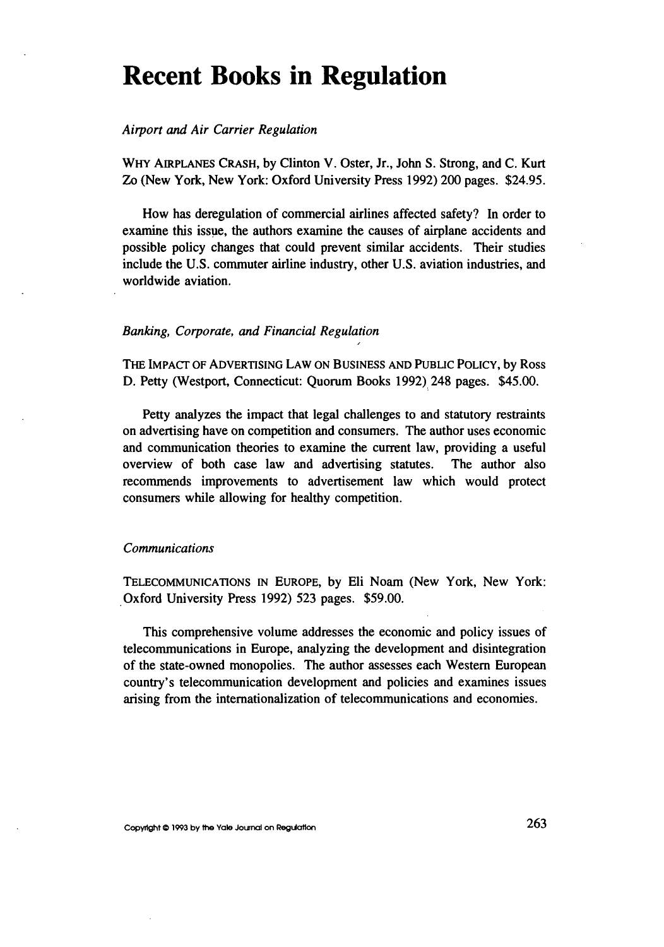# **Recent Books in Regulation**

#### *Airport and Air Carrier Regulation*

WHY AIRPLANES CRASH, **by** Clinton V. Oster, Jr., John **S.** Strong, and **C.** Kurt Zo (New York, New York: Oxford University Press **1992)** 200 pages. \$24.95.

How has deregulation of commercial airlines affected safety? In order to examine this issue, the authors examine the causes of airplane accidents and possible policy changes that could prevent similar accidents. Their studies include the U.S. commuter airline industry, other U.S. aviation industries, and worldwide aviation.

#### *Banking, Corporate, and Financial Regulation*

THE IMPACT OF ADVERTISING LAW ON BUSINESS AND PUBLIC POLICY, by Ross D. Petty (Westport, Connecticut: Quorum Books 1992) 248 pages. \$45.00.

Petty analyzes the impact that legal challenges to and statutory restraints on advertising have on competition and consumers. The author uses economic and communication theories to examine the current law, providing a useful overview of both case law and advertising statutes. The author also recommends improvements to advertisement law which would protect consumers while allowing for healthy competition.

#### *Communications*

TELECOMMUNICATIONS **IN** EUROPE, by Eli Noam (New York, New York: Oxford University Press 1992) 523 pages. \$59.00.

This comprehensive volume addresses the economic and policy issues of telecommunications in Europe, analyzing the development and disintegration of the state-owned monopolies. The author assesses each Western European country's telecommunication development and policies and examines issues arising from the internationalization of telecommunications and economies.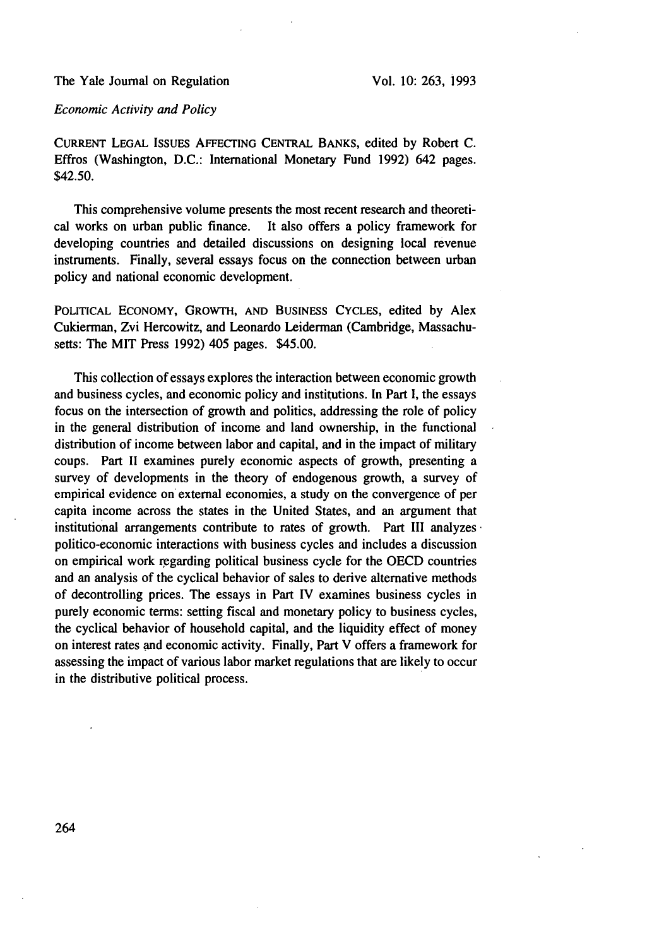## *Economic Activity and Policy*

CURRENT **LEGAL** ISSUES AFFECING **CENTRAL BANKS,** edited by Robert C. Effros (Washington, D.C.: International Monetary Fund 1992) 642 pages. \$42.50.

This comprehensive volume presents the most recent research and theoretical works on urban public finance. It also offers a policy framework for developing countries and detailed discussions on designing local revenue instruments. Finally, several essays focus on the connection between urban policy and national economic development.

POLITICAL **ECONOMY,** GROWTH, **AND BUSINESS** CYCLES, edited by Alex Cukierman, Zvi Hercowitz, and Leonardo Leiderman (Cambridge, Massachusetts: The MIT Press 1992) 405 pages. \$45.00.

This collection of essays explores the interaction between economic growth and business cycles, and economic policy and institutions. In Part **1,** the essays focus on the intersection of growth and politics, addressing the role of policy in the general distribution of income and land ownership, in the functional distribution of income between labor and capital, and in the impact of military coups. Part II examines purely economic aspects of growth, presenting a survey of developments in the theory of endogenous growth, a survey of empirical evidence on external economies, a study on the convergence of per capita income across the states in the United States, and an argument that institutional arrangements contribute to rates of growth. Part III analyzes politico-economic interactions with business cycles and includes a discussion on empirical work regarding political business cycle for the OECD countries and an analysis of the cyclical behavior of sales to derive alternative methods of decontrolling prices. The essays in Part IV examines business cycles in purely economic terms: setting fiscal and monetary policy to business cycles, the cyclical behavior of household capital, and the liquidity effect of money on interest rates and economic activity. Finally, Part V offers a framework for assessing the impact of various labor market regulations that are likely to occur in the distributive political process.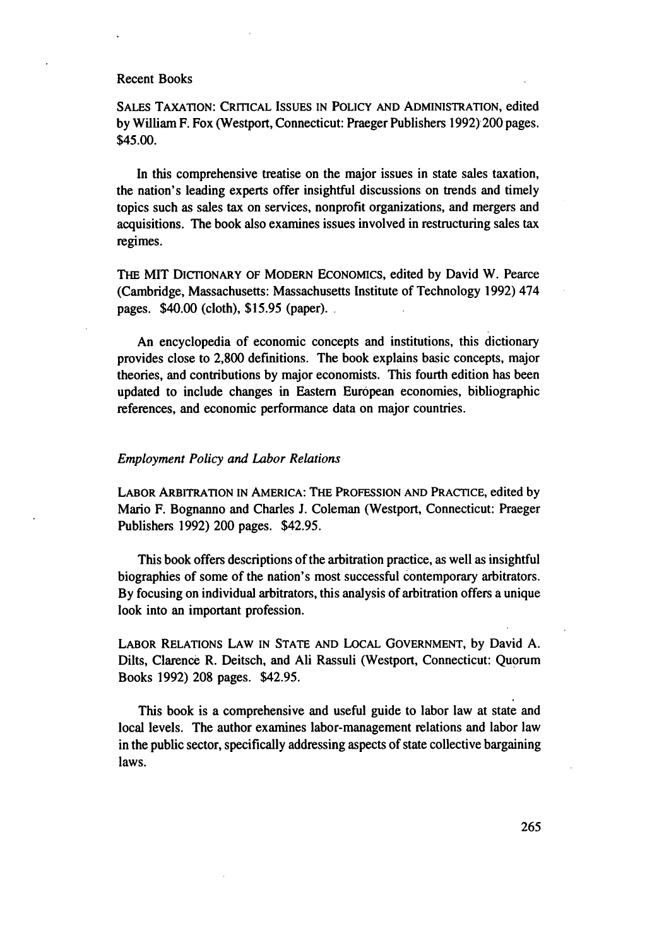SALES TAXATION: CRITICAL ISSUES **IN** POLICY AND ADMINISTRATION, edited **by** William F. Fox (Westport, Connecticut: Praeger Publishers 1992) 200 pages. \$45.00.

In this comprehensive treatise on the major issues in state sales taxation, the nation's leading experts offer insightful discussions on trends and timely topics such as sales tax on services, nonprofit organizations, and mergers and acquisitions. The book also examines issues involved in restructuring sales tax regimes.

THE MIT DICTIONARY OF MODERN ECONOMICS, edited by David W. Pearce (Cambridge, Massachusetts: Massachusetts Institute of Technology 1992) 474 pages. \$40.00 (cloth), \$15.95 (paper).

An encyclopedia of economic concepts and institutions, this dictionary provides close to 2,800 definitions. The book explains basic concepts, major theories, and contributions by major economists. This fourth edition has been updated to include changes in Eastern European economies, bibliographic references, and economic performance data on major countries.

#### *Employment Policy and Labor Relations*

LABOR ARBITRATION IN AMERICA: THE **PROFESSION AND** PRACTICE, edited by Mario F. Bognanno and Charles J. Coleman (Westport, Connecticut: Praeger Publishers 1992) 200 pages. \$42.95.

This book offers descriptions of the arbitration practice, as well as insightful biographies of some of the nation's most successful contemporary arbitrators. By focusing on individual arbitrators, this analysis of arbitration offers a unique look into an important profession.

LABOR RELATIONS LAW **IN STATE AND** LOCAL **GOVERNMENT,** by David A. Dilts, Clarence R. Deitsch, and Ali Rassuli (Westport, Connecticut: Quorum Books 1992) 208 pages. \$42.95.

This book is a comprehensive and useful guide to labor law at state and local levels. The author examines labor-management relations and labor law in the public sector, specifically addressing aspects of state collective bargaining laws.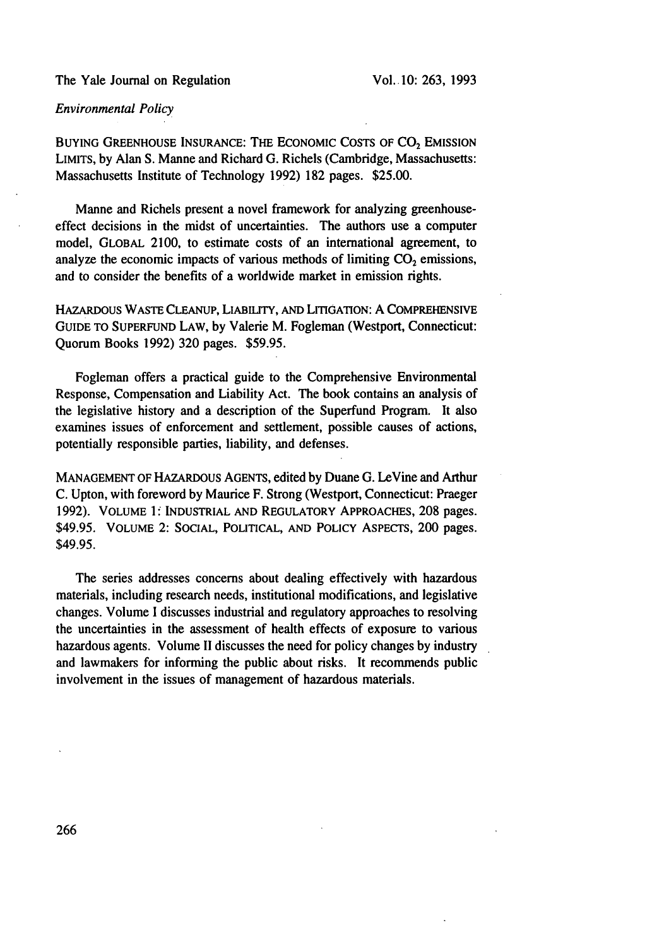## *Environmental Policy*

BUYING GREENHOUSE INSURANCE: THE ECONOMIC COSTS OF  $CO<sub>2</sub>$  EMISSION LIMITS, by Alan S. Manne and Richard G. Richels (Cambridge, Massachusetts: Massachusetts Institute of Technology 1992) 182 pages. \$25.00.

Manne and Richels present a novel framework for analyzing greenhouseeffect decisions in the midst of uncertainties. The authors use a computer model, GLOBAL 2100, to estimate costs of an international agreement, to analyze the economic impacts of various methods of limiting  $CO<sub>2</sub>$  emissions, and to consider the benefits of a worldwide market in emission rights.

HAZARDOUS WASTE CLEANUP, LIABILITY, AND LITIGATION: A COMPREHENSIVE GUIDE TO SUPERFUND LAW, by Valerie M. Fogleman (Westport, Connecticut: Quorum Books 1992) 320 pages. \$59.95.

Fogleman offers a practical guide to the Comprehensive Environmental Response, Compensation and Liability Act. The book contains an analysis of the legislative history and a description of the Superfund Program. It also examines issues of enforcement and settlement, possible causes of actions, potentially responsible parties, liability, and defenses.

MANAGEMENT OF HAZARDOUS AGENTS, edited by Duane G. LeVine and Arthur C. Upton, with foreword by Maurice F. Strong (Westport, Connecticut: Praeger 1992). VOLUME **1:** INDUSTRIAL AND REGULATORY APPROACHES, **208** pages. \$49.95. VOLUME 2: SOCIAL, POLITICAL, AND POLICY ASPECTS, 200 pages. \$49.95.

The series addresses concerns about dealing effectively with hazardous materials, including research needs, institutional modifications, and legislative changes. Volume I discusses industrial and regulatory approaches to resolving the uncertainties in the assessment of health effects of exposure to various hazardous agents. Volume II discusses the need for policy changes by industry and lawmakers for informing the public about risks. It recommends public involvement in the issues of management of hazardous materials.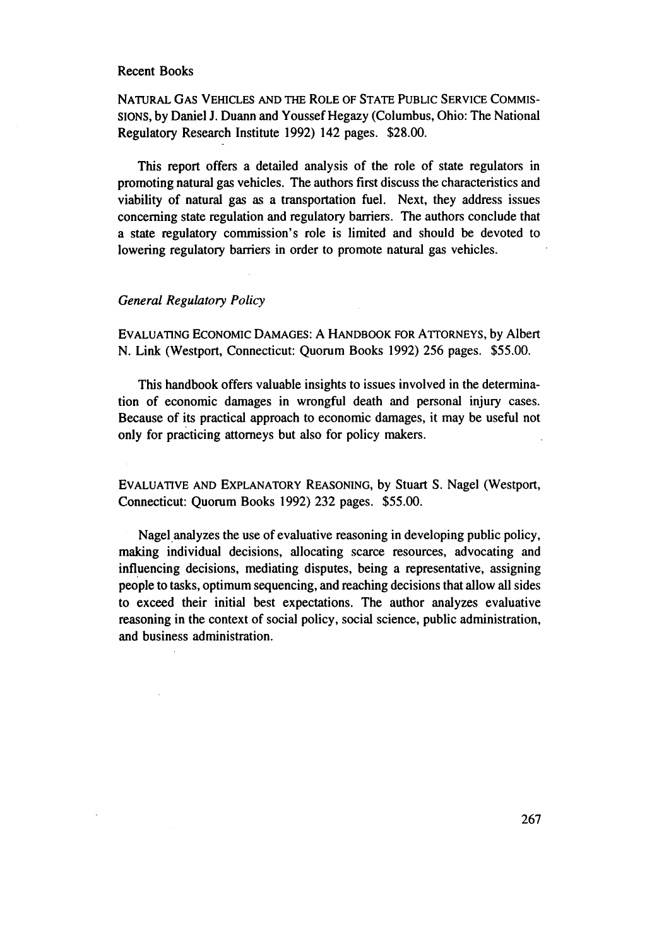NATURAL GAS VEHICLES AND THE ROLE OF STATE PUBLIC SERVICE COMMIS-SIONS, by Daniel J. Duann and Youssef Hegazy (Columbus, Ohio: The National Regulatory Research Institute 1992) 142 pages. \$28.00.

This report offers a detailed analysis of the role of state regulators in promoting natural gas vehicles. The authors first discuss the characteristics and viability of natural gas as a transportation fuel. Next, they address issues concerning state regulation and regulatory barriers. The authors conclude that a state regulatory commission's role is limited and should be devoted to lowering regulatory barriers in order to promote natural gas vehicles.

### *General Regulatory Policy*

EVALUATING ECONOMIC DAMAGES: A HANDBOOK FOR ATTORNEYS, by Albert N. Link (Westport, Connecticut: Quorum Books 1992) 256 pages. \$55.00.

This handbook offers valuable insights to issues involved in the determination of economic damages in wrongful death and personal injury cases. Because of its practical approach to economic damages, it may be useful not only for practicing attorneys but also for policy makers.

EVALUATIVE AND EXPLANATORY REASONING, by Stuart S. Nagel (Westport, Connecticut: Quorum Books 1992) 232 pages. \$55.00.

Nagel analyzes the use of evaluative reasoning in developing public policy, making individual decisions, allocating scarce resources, advocating and influencing decisions, mediating disputes, being a representative, assigning people to tasks, optimum sequencing, and reaching decisions that allow all sides to exceed their initial best expectations. The author analyzes evaluative reasoning in the context of social policy, social science, public administration, and business administration.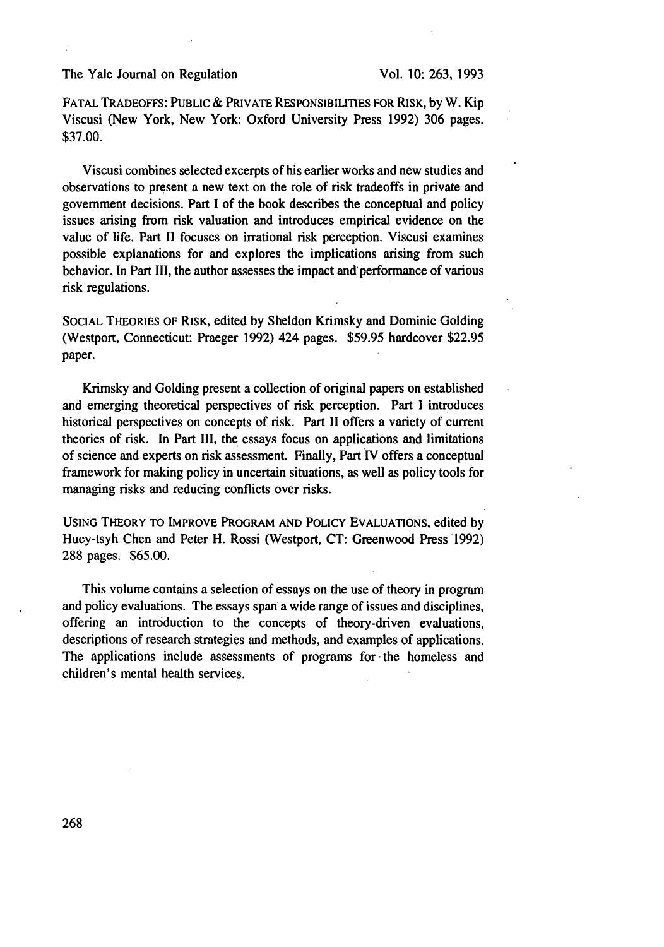FATAL TRADEOFFS: PUBLIC & PRIVATE RESPONSIBILITIES FOR RISK, **by** W. Kip Viscusi (New York, New York: Oxford University Press 1992) 306 pages. \$37.00.

Viscusi combines selected excerpts of his earlier works and new studies and observations to present a new text on the role of risk tradeoffs in private and government decisions. Part I of the book describes the conceptual and policy issues arising from risk valuation and introduces empirical evidence on the value of life. Part II focuses on irrational risk perception. Viscusi examines possible explanations for and explores the implications arising from such behavior. In Part III, the author assesses the impact and performance of various risk regulations.

SOCIAL THEORIES OF RISK, edited by Sheldon Krimsky and Dominic Golding (Westport, Connecticut: Praeger 1992) 424 pages. \$59.95 hardcover \$22.95 paper.

Krimsky and Golding present a collection of original papers on established and emerging theoretical perspectives of risk perception. Part I introduces historical perspectives on concepts of risk. Part II offers a variety of current theories of risk. In Part III, the essays focus on applications and limitations of science and experts on risk assessment. Finally, Part IV offers a conceptual framework for making policy in uncertain situations, as well as policy tools for managing risks and reducing conflicts over risks.

**USING** THEORY TO IMPROVE PROGRAM **AND** POLICY EVALUATIONS, edited by Huey-tsyh Chen and Peter H. Rossi (Westport, CT: Greenwood Press 1992) 288 pages. \$65.00.

This volume contains a selection of essays on the use of theory in program and policy evaluations. The essays span a wide range of issues and disciplines, offering an introduction to the concepts of theory-driven evaluations, descriptions of research strategies and methods, and examples of applications. The applications include assessments of programs for the homeless and children's mental health services.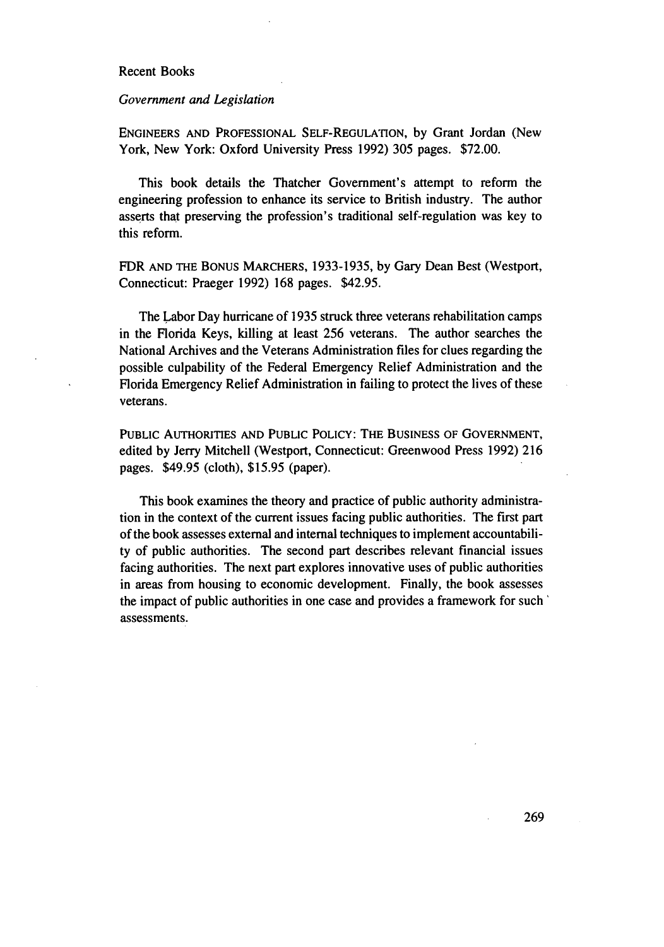#### *Government and Legislation*

ENGINEERS AND PROFESSIONAL SELF-REGULATION, by Grant Jordan (New York, New York: Oxford University Press 1992) 305 pages. \$72.00.

This book details the Thatcher Government's attempt to reform the engineering profession to enhance its service to British industry. The author asserts that preserving the profession's traditional self-regulation was key to this reform.

FDR AND THE BONUS MARCHERS, 1933-1935, by Gary Dean Best (Westport, Connecticut: Praeger 1992) 168 pages. \$42.95.

The Labor Day hurricane of 1935 struck three veterans rehabilitation camps in the Florida Keys, killing at least 256 veterans. The author searches the National Archives and the Veterans Administration files for clues regarding the possible culpability of the Federal Emergency Relief Administration and the Florida Emergency Relief Administration in failing to protect the lives of these veterans.

PUBLIC AUTHORITIES AND PUBLIC POLICY: THE BUSINESS OF GOVERNMENT, edited by Jerry Mitchell (Westport, Connecticut: Greenwood Press 1992) 216 pages. \$49.95 (cloth), \$15.95 (paper).

This book examines the theory and practice of public authority administration in the context of the current issues facing public authorities. The first part of the book assesses external and internal techniques to implement accountability of public authorities. The second part describes relevant financial issues facing authorities. The next part explores innovative uses of public authorities in areas from housing to economic development. Finally, the book assesses the impact of public authorities in one case and provides a framework for such' assessments.

269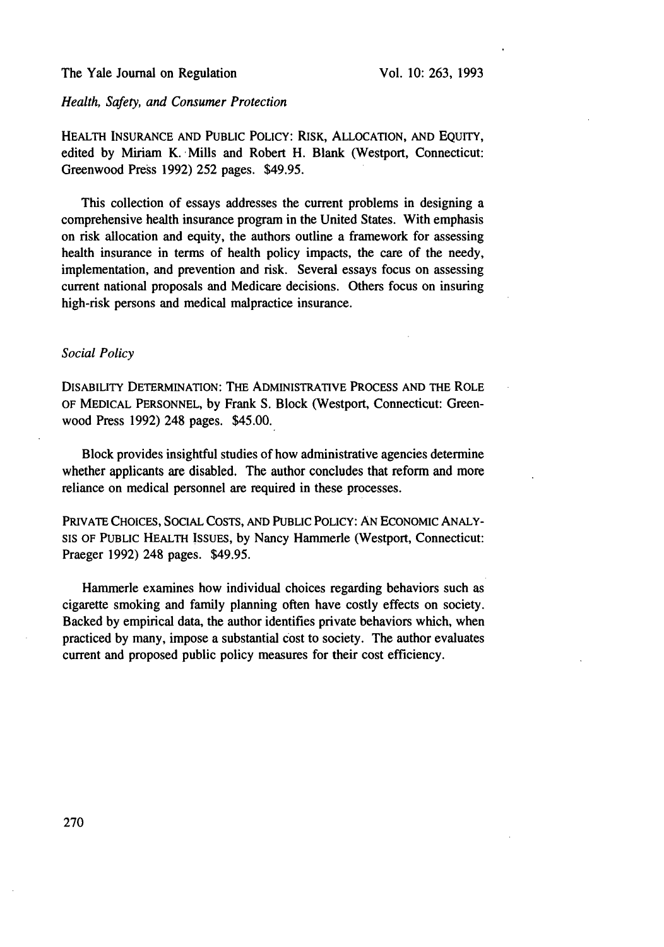#### *Health, Safety, and Consumer Protection*

HEALTH INSURANCE AND PUBLIC POLICY: RISK, ALLOCATION, AND EQUITY, edited by Miriam K. Mills and Robert H. Blank (Westport, Connecticut: Greenwood Press 1992) 252 pages. \$49.95.

This collection of essays addresses the current problems in designing a comprehensive health insurance program in the United States. With emphasis on risk allocation and equity, the authors outline a framework for assessing health insurance in terms of health policy impacts, the care of the needy, implementation, and prevention and risk. Several essays focus on assessing current national proposals and Medicare decisions. Others focus on insuring high-risk persons and medical malpractice insurance.

#### *Social Policy*

DISABILITY DETERMINATION: THE ADMINISTRATIVE PROCESS AND THE ROLE OF MEDICAL PERSONNEL, by Frank **S.** Block (Westport, Connecticut: Greenwood Press 1992) 248 pages. \$45.00.

Block provides insightful studies of how administrative agencies determine whether applicants are disabled. The author concludes that reform and more reliance on medical personnel are required in these processes.

PRIVATE CHOICES, SOCIAL COSTS, AND PUBLIC POLICY: AN ECONOMIC ANALY-**SIS** OF PUBLIC HEALTH ISSUES, by Nancy Hammerle (Westport, Connecticut: Praeger 1992) 248 pages. \$49.95.

Hammerle examines how individual choices regarding behaviors such as cigarette smoking and family planning often have costly effects on society. Backed by empirical data, the author identifies private behaviors which, when practiced by many, impose a substantial cost to society. The author evaluates current and proposed public policy measures for their cost efficiency.